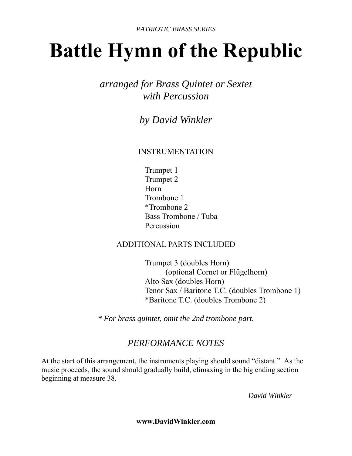# **Battle Hymn of the Republic**

*arranged for Brass Quintet or Sextet with Percussion* 

*by David Winkler* 

#### INSTRUMENTATION

 Trumpet 1 Trumpet 2 Horn Trombone 1 \*Trombone 2 Bass Trombone / Tuba Percussion

#### ADDITIONAL PARTS INCLUDED

 Trumpet 3 (doubles Horn) (optional Cornet or Flügelhorn) Alto Sax (doubles Horn) Tenor Sax / Baritone T.C. (doubles Trombone 1) \*Baritone T.C. (doubles Trombone 2)

*\* For brass quintet, omit the 2nd trombone part.*

### *PERFORMANCE NOTES*

At the start of this arrangement, the instruments playing should sound "distant." As the music proceeds, the sound should gradually build, climaxing in the big ending section beginning at measure 38.

 *David Winkler* 

**www.DavidWinkler.com**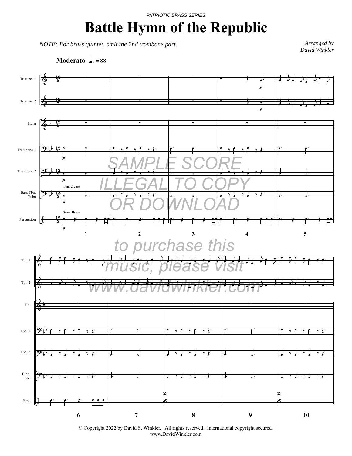#### *PATRIOTIC BRASS SERIES*

## **Battle Hymn of the Republic**

*NOTE: For brass quintet, omit the 2nd trombone part.*

*Arranged by David Winkler*

**Moderato**  $\sqrt{a} = 88$ 



© Copyright 2022 by David S. Winkler. All rights reserved. International copyright secured. www.DavidWinkler.com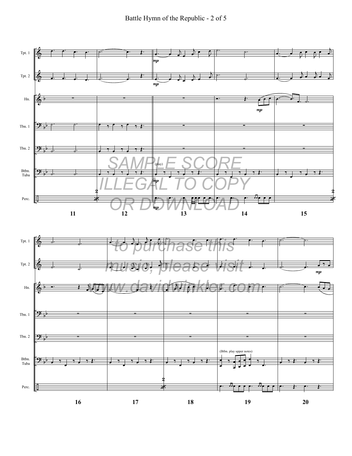



Perc.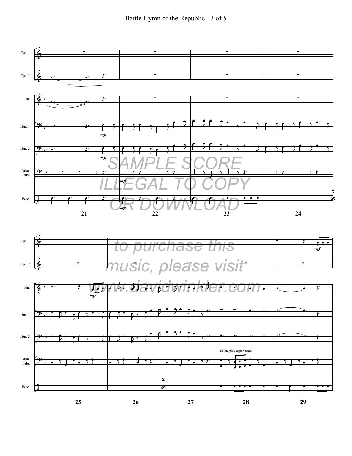

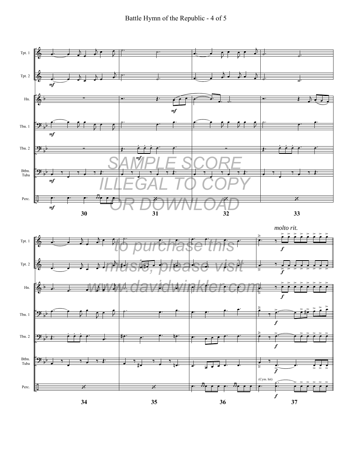